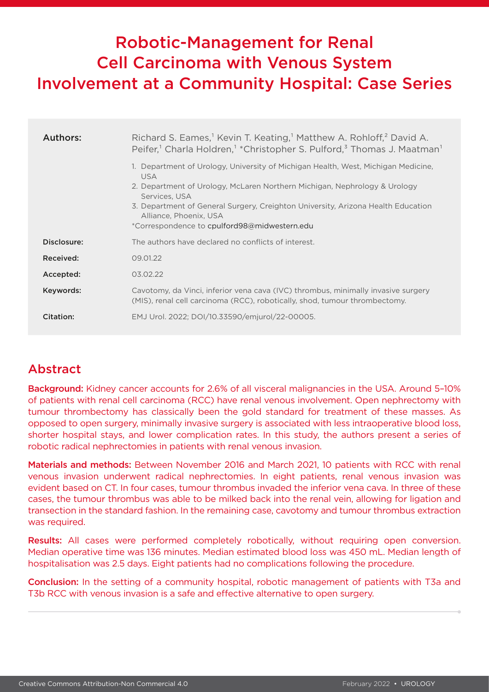# Robotic-Management for Renal Cell Carcinoma with Venous System Involvement at a Community Hospital: Case Series

| Authors:    | Richard S. Eames, <sup>1</sup> Kevin T. Keating, <sup>1</sup> Matthew A. Rohloff, <sup>2</sup> David A.<br>Peifer, <sup>1</sup> Charla Holdren, <sup>1</sup> *Christopher S. Pulford, <sup>3</sup> Thomas J. Maatman <sup>1</sup><br>1. Department of Urology, University of Michigan Health, West, Michigan Medicine,<br><b>USA</b><br>2. Department of Urology, McLaren Northern Michigan, Nephrology & Urology<br>Services, USA<br>3. Department of General Surgery, Creighton University, Arizona Health Education<br>Alliance, Phoenix, USA<br>*Correspondence to cpulford98@midwestern.edu |
|-------------|--------------------------------------------------------------------------------------------------------------------------------------------------------------------------------------------------------------------------------------------------------------------------------------------------------------------------------------------------------------------------------------------------------------------------------------------------------------------------------------------------------------------------------------------------------------------------------------------------|
| Disclosure: | The authors have declared no conflicts of interest.                                                                                                                                                                                                                                                                                                                                                                                                                                                                                                                                              |
| Received:   | 09.01.22                                                                                                                                                                                                                                                                                                                                                                                                                                                                                                                                                                                         |
| Accepted:   | 03.02.22                                                                                                                                                                                                                                                                                                                                                                                                                                                                                                                                                                                         |
| Keywords:   | Cavotomy, da Vinci, inferior vena cava (IVC) thrombus, minimally invasive surgery<br>(MIS), renal cell carcinoma (RCC), robotically, shod, tumour thrombectomy.                                                                                                                                                                                                                                                                                                                                                                                                                                  |
| Citation:   | EMJ Urol. 2022; DOI/10.33590/emjurol/22-00005.                                                                                                                                                                                                                                                                                                                                                                                                                                                                                                                                                   |

## Abstract

Background: Kidney cancer accounts for 2.6% of all visceral malignancies in the USA. Around 5–10% of patients with renal cell carcinoma (RCC) have renal venous involvement. Open nephrectomy with tumour thrombectomy has classically been the gold standard for treatment of these masses. As opposed to open surgery, minimally invasive surgery is associated with less intraoperative blood loss, shorter hospital stays, and lower complication rates. In this study, the authors present a series of robotic radical nephrectomies in patients with renal venous invasion.

Materials and methods: Between November 2016 and March 2021, 10 patients with RCC with renal venous invasion underwent radical nephrectomies. In eight patients, renal venous invasion was evident based on CT. In four cases, tumour thrombus invaded the inferior vena cava. In three of these cases, the tumour thrombus was able to be milked back into the renal vein, allowing for ligation and transection in the standard fashion. In the remaining case, cavotomy and tumour thrombus extraction was required.

Results: All cases were performed completely robotically, without requiring open conversion. Median operative time was 136 minutes. Median estimated blood loss was 450 mL. Median length of hospitalisation was 2.5 days. Eight patients had no complications following the procedure.

Conclusion: In the setting of a community hospital, robotic management of patients with T3a and T3b RCC with venous invasion is a safe and effective alternative to open surgery.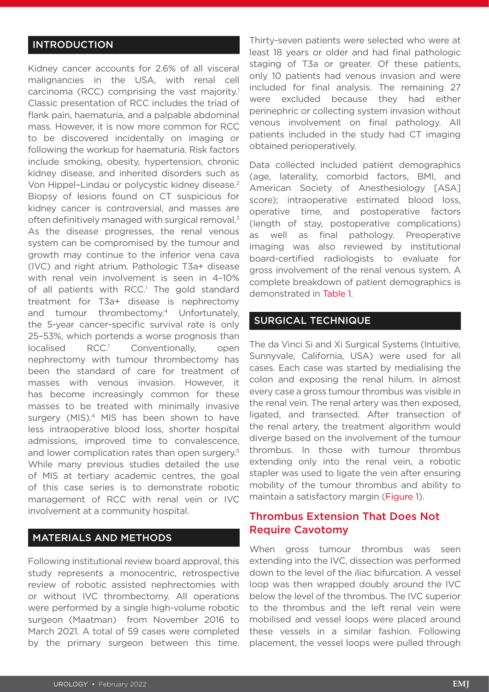#### INTRODUCTION

Kidney cancer accounts for 2.6% of all visceral malignancies in the USA, with renal cell carcinoma (RCC) comprising the vast majority.1 Classic presentation of RCC includes the triad of flank pain, haematuria, and a palpable abdominal mass. However, it is now more common for RCC to be discovered incidentally on imaging or following the workup for haematuria. Risk factors include smoking, obesity, hypertension, chronic kidney disease, and inherited disorders such as Von Hippel–Lindau or polycystic kidney disease.2 Biopsy of lesions found on CT suspicious for kidney cancer is controversial, and masses are often definitively managed with surgical removal.<sup>3</sup> As the disease progresses, the renal venous system can be compromised by the tumour and growth may continue to the inferior vena cava (IVC) and right atrium. Pathologic T3a+ disease with renal vein involvement is seen in 4–10% of all patients with RCC.<sup>1</sup> The gold standard treatment for T3a+ disease is nephrectomy and tumour thrombectomy.<sup>4</sup> Unfortunately, the 5-year cancer-specific survival rate is only 25–53%, which portends a worse prognosis than localised RCC.<sup>1</sup> Conventionally, open nephrectomy with tumour thrombectomy has been the standard of care for treatment of masses with venous invasion. However, it has become increasingly common for these masses to be treated with minimally invasive surgery (MIS).<sup>4</sup> MIS has been shown to have less intraoperative blood loss, shorter hospital admissions, improved time to convalescence, and lower complication rates than open surgery.<sup>5</sup> While many previous studies detailed the use of MIS at tertiary academic centres, the goal of this case series is to demonstrate robotic management of RCC with renal vein or IVC involvement at a community hospital.

### MATERIALS AND METHODS

Following institutional review board approval, this study represents a monocentric, retrospective review of robotic assisted nephrectomies with or without IVC thrombectomy. All operations were performed by a single high-volume robotic surgeon (Maatman) from November 2016 to March 2021. A total of 59 cases were completed by the primary surgeon between this time. Thirty-seven patients were selected who were at least 18 years or older and had final pathologic staging of T3a or greater. Of these patients, only 10 patients had venous invasion and were included for final analysis. The remaining 27 were excluded because they had either perinephric or collecting system invasion without venous involvement on final pathology. All patients included in the study had CT imaging obtained perioperatively.

Data collected included patient demographics (age, laterality, comorbid factors, BMI, and American Society of Anesthesiology [ASA] score); intraoperative estimated blood loss, operative time, and postoperative factors (length of stay, postoperative complications) as well as final pathology. Preoperative imaging was also reviewed by institutional board-certified radiologists to evaluate for gross involvement of the renal venous system. A complete breakdown of patient demographics is demonstrated in Table 1.

#### SURGICAL TECHNIQUE

The da Vinci Si and Xi Surgical Systems (Intuitive, Sunnyvale, California, USA) were used for all cases. Each case was started by medialising the colon and exposing the renal hilum. In almost every case a gross tumour thrombus was visible in the renal vein. The renal artery was then exposed, ligated, and transected. After transection of the renal artery, the treatment algorithm would diverge based on the involvement of the tumour thrombus. In those with tumour thrombus extending only into the renal vein, a robotic stapler was used to ligate the vein after ensuring mobility of the tumour thrombus and ability to maintain a satisfactory margin (Figure 1).

#### Thrombus Extension That Does Not Require Cavotomy

When gross tumour thrombus was seen extending into the IVC, dissection was performed down to the level of the iliac bifurcation. A vessel loop was then wrapped doubly around the IVC below the level of the thrombus. The IVC superior to the thrombus and the left renal vein were mobilised and vessel loops were placed around these vessels in a similar fashion. Following placement, the vessel loops were pulled through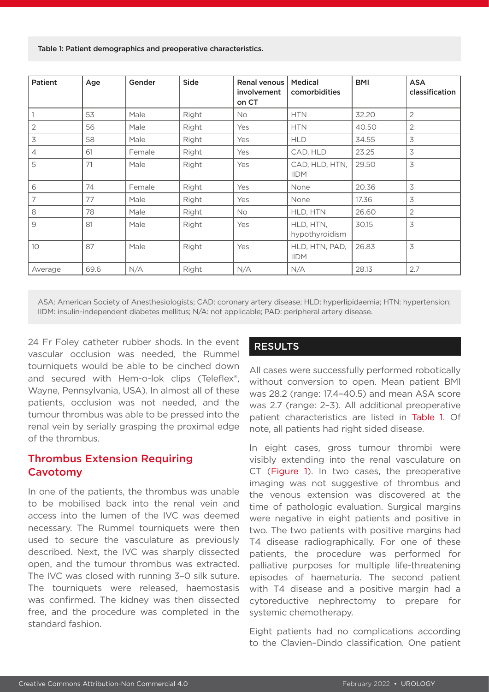Table 1: Patient demographics and preoperative characteristics.

| Patient | Age  | Gender | Side  | Renal venous<br>involvement<br>on CT | <b>Medical</b><br>comorbidities | <b>BMI</b> | <b>ASA</b><br>classification |
|---------|------|--------|-------|--------------------------------------|---------------------------------|------------|------------------------------|
|         | 53   | Male   | Right | No                                   | <b>HTN</b>                      | 32.20      | $\overline{2}$               |
| 2       | 56   | Male   | Right | Yes                                  | <b>HTN</b>                      | 40.50      | $\overline{2}$               |
| 3       | 58   | Male   | Right | Yes                                  | <b>HLD</b>                      | 34.55      | $\overline{\mathcal{S}}$     |
| 4       | 61   | Female | Right | Yes                                  | CAD, HLD                        | 23.25      | 3                            |
| 5       | 71   | Male   | Right | Yes                                  | CAD, HLD, HTN,<br><b>IIDM</b>   | 29.50      | 3                            |
| 6       | 74   | Female | Right | Yes                                  | None                            | 20.36      | 3                            |
| 7       | 77   | Male   | Right | Yes                                  | None                            | 17.36      | 3                            |
| 8       | 78   | Male   | Right | <b>No</b>                            | HLD, HTN                        | 26.60      | 2                            |
| 9       | 81   | Male   | Right | Yes                                  | HLD, HTN,<br>hypothyroidism     | 30.15      | 3                            |
| 10      | 87   | Male   | Right | Yes                                  | HLD, HTN, PAD,<br><b>IIDM</b>   | 26.83      | 3                            |
| Average | 69.6 | N/A    | Right | N/A                                  | N/A                             | 28.13      | 2.7                          |

ASA: American Society of Anesthesiologists; CAD: coronary artery disease; HLD: hyperlipidaemia; HTN: hypertension; IIDM: insulin-independent diabetes mellitus; N/A: not applicable; PAD: peripheral artery disease.

24 Fr Foley catheter rubber shods. In the event vascular occlusion was needed, the Rummel tourniquets would be able to be cinched down and secured with Hem-o-lok clips (Teleflex®, Wayne, Pennsylvania, USA). In almost all of these patients, occlusion was not needed, and the tumour thrombus was able to be pressed into the renal vein by serially grasping the proximal edge of the thrombus.

#### Thrombus Extension Requiring Cavotomy

In one of the patients, the thrombus was unable to be mobilised back into the renal vein and access into the lumen of the IVC was deemed necessary. The Rummel tourniquets were then used to secure the vasculature as previously described. Next, the IVC was sharply dissected open, and the tumour thrombus was extracted. The IVC was closed with running 3–0 silk suture. The tourniquets were released, haemostasis was confirmed. The kidney was then dissected free, and the procedure was completed in the standard fashion.

#### RESULTS

All cases were successfully performed robotically without conversion to open. Mean patient BMI was 28.2 (range: 17.4–40.5) and mean ASA score was 2.7 (range: 2–3). All additional preoperative patient characteristics are listed in Table 1. Of note, all patients had right sided disease.

In eight cases, gross tumour thrombi were visibly extending into the renal vasculature on CT (Figure 1). In two cases, the preoperative imaging was not suggestive of thrombus and the venous extension was discovered at the time of pathologic evaluation. Surgical margins were negative in eight patients and positive in two. The two patients with positive margins had T4 disease radiographically. For one of these patients, the procedure was performed for palliative purposes for multiple life-threatening episodes of haematuria. The second patient with T4 disease and a positive margin had a cytoreductive nephrectomy to prepare for systemic chemotherapy.

Eight patients had no complications according to the Clavien–Dindo classification. One patient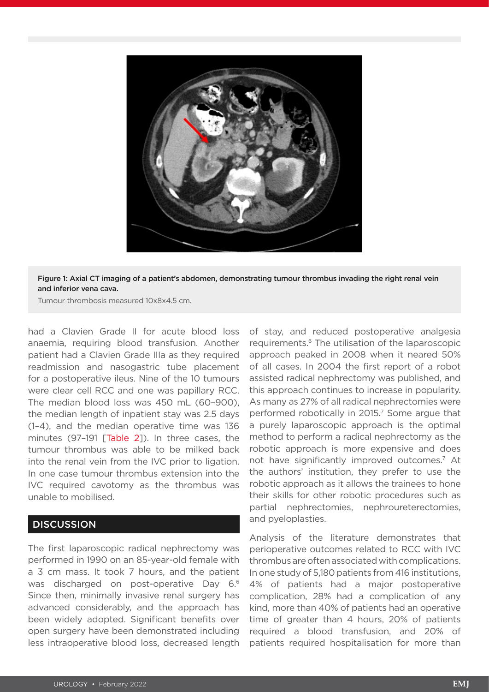

Figure 1: Axial CT imaging of a patient's abdomen, demonstrating tumour thrombus invading the right renal vein and inferior vena cava.

Tumour thrombosis measured 10x8x4.5 cm.

had a Clavien Grade II for acute blood loss anaemia, requiring blood transfusion. Another patient had a Clavien Grade IIIa as they required readmission and nasogastric tube placement for a postoperative ileus. Nine of the 10 tumours were clear cell RCC and one was papillary RCC. The median blood loss was 450 mL (60–900), the median length of inpatient stay was 2.5 days (1–4), and the median operative time was 136 minutes (97-191 [Table 21). In three cases, the tumour thrombus was able to be milked back into the renal vein from the IVC prior to ligation. In one case tumour thrombus extension into the IVC required cavotomy as the thrombus was unable to mobilised.

#### **DISCUSSION**

The first laparoscopic radical nephrectomy was performed in 1990 on an 85-year-old female with a 3 cm mass. It took 7 hours, and the patient was discharged on post-operative Day 6.6 Since then, minimally invasive renal surgery has advanced considerably, and the approach has been widely adopted. Significant benefits over open surgery have been demonstrated including less intraoperative blood loss, decreased length of stay, and reduced postoperative analgesia requirements.6 The utilisation of the laparoscopic approach peaked in 2008 when it neared 50% of all cases. In 2004 the first report of a robot assisted radical nephrectomy was published, and this approach continues to increase in popularity. As many as 27% of all radical nephrectomies were performed robotically in 2015.<sup>7</sup> Some argue that a purely laparoscopic approach is the optimal method to perform a radical nephrectomy as the robotic approach is more expensive and does not have significantly improved outcomes.<sup>7</sup> At the authors' institution, they prefer to use the robotic approach as it allows the trainees to hone their skills for other robotic procedures such as partial nephrectomies, nephroureterectomies, and pyeloplasties.

Analysis of the literature demonstrates that perioperative outcomes related to RCC with IVC thrombus are often associated with complications. In one study of 5,180 patients from 416 institutions, 4% of patients had a major postoperative complication, 28% had a complication of any kind, more than 40% of patients had an operative time of greater than 4 hours, 20% of patients required a blood transfusion, and 20% of patients required hospitalisation for more than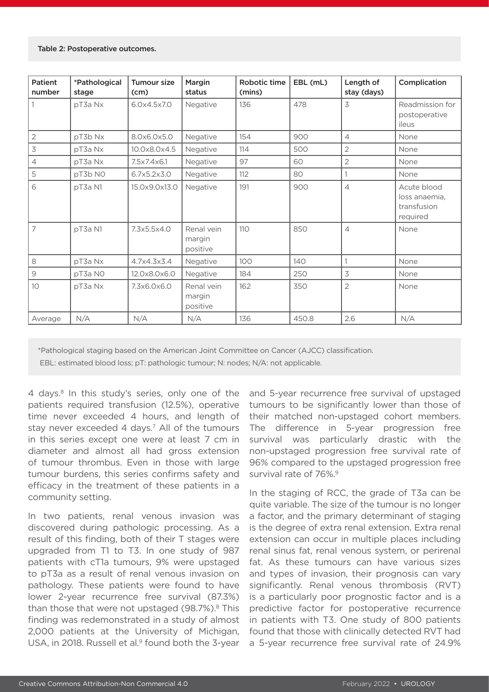| Patient<br>number                                         | *Pathological<br>stage | <b>Tumour size</b><br>(cm) | Margin<br>status                 | Robotic time<br>(mins) | EBL (mL) | Length of<br>stay (days) | Complication                                            |
|-----------------------------------------------------------|------------------------|----------------------------|----------------------------------|------------------------|----------|--------------------------|---------------------------------------------------------|
|                                                           | pT3a Nx                | 6.0x4.5x7.0                | Negative                         | 136                    | 478      | 3                        | Readmission for<br>postoperative<br>ileus               |
| $\overline{2}$                                            | pT3b Nx                | 8.0x6.0x5.0                | Negative                         | 154                    | 900      | $\overline{4}$           | None                                                    |
| $\overline{3}$                                            | pT3a Nx                | 10.0x8.0x4.5               | Negative                         | 114                    | 500      | $\overline{2}$           | None                                                    |
| $\overline{4}$                                            | pT3a Nx                | 7.5x7.4x6.1                | Negative                         | 97                     | 60       | $\overline{2}$           | None                                                    |
| 5                                                         | pT3b NO                | 6.7x5.2x3.0                | Negative                         | 112                    | 80       |                          | None                                                    |
| 6                                                         | pT3a N1                | 15.0x9.0x13.0              | Negative                         | 191                    | 900      | $\overline{4}$           | Acute blood<br>loss anaemia,<br>transfusion<br>required |
| $\overline{7}$                                            | pT3a N1                | 7.3x5.5x4.0                | Renal vein<br>margin<br>positive | 110                    | 850      | $\overline{4}$           | None                                                    |
| 8                                                         | pT3a Nx                | 4.7x4.3x3.4                | Negative                         | 100                    | 140      |                          | None                                                    |
| $\mathcal{G}% _{M_{1},M_{2}}^{\alpha,\beta}(\varepsilon)$ | pT3a NO                | 12.0x8.0x6.0               | Negative                         | 184                    | 250      | 3                        | None                                                    |
| 10                                                        | pT3a Nx                | 7.3x6.0x6.0                | Renal vein<br>margin<br>positive | 162                    | 350      | $\overline{2}$           | None                                                    |
| Average                                                   | N/A                    | N/A                        | N/A                              | 136                    | 450.8    | 2.6                      | N/A                                                     |

\*Pathological staging based on the American Joint Committee on Cancer (AJCC) classification.

EBL: estimated blood loss; pT: pathologic tumour; N: nodes; N/A: not applicable.

4 days.<sup>8</sup> In this study's series, only one of the patients required transfusion (12.5%), operative time never exceeded 4 hours, and length of stay never exceeded 4 days.<sup>7</sup> All of the tumours in this series except one were at least 7 cm in diameter and almost all had gross extension of tumour thrombus. Even in those with large tumour burdens, this series confirms safety and efficacy in the treatment of these patients in a community setting.

In two patients, renal venous invasion was discovered during pathologic processing. As a result of this finding, both of their T stages were upgraded from T1 to T3. In one study of 987 patients with cT1a tumours, 9% were upstaged to pT3a as a result of renal venous invasion on pathology. These patients were found to have lower 2-year recurrence free survival (87.3%) than those that were not upstaged  $(98.7\%)$ .<sup>8</sup> This finding was redemonstrated in a study of almost 2,000 patients at the University of Michigan, USA, in 2018. Russell et al.<sup>9</sup> found both the 3-year

and 5-year recurrence free survival of upstaged tumours to be significantly lower than those of their matched non-upstaged cohort members. The difference in 5-year progression free survival was particularly drastic with the non-upstaged progression free survival rate of 96% compared to the upstaged progression free survival rate of 76%.<sup>9</sup>

In the staging of RCC, the grade of T3a can be quite variable. The size of the tumour is no longer a factor, and the primary determinant of staging is the degree of extra renal extension. Extra renal extension can occur in multiple places including renal sinus fat, renal venous system, or perirenal fat. As these tumours can have various sizes and types of invasion, their prognosis can vary significantly. Renal venous thrombosis (RVT) is a particularly poor prognostic factor and is a predictive factor for postoperative recurrence in patients with T3. One study of 800 patients found that those with clinically detected RVT had a 5-year recurrence free survival rate of 24.9%